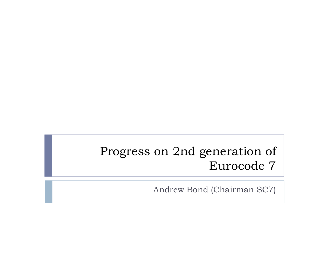#### Progress on 2nd generation of Eurocode 7

Andrew Bond (Chairman SC7)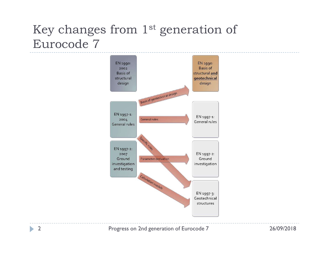#### Key changes from 1<sup>st</sup> generation of Eurocode 7

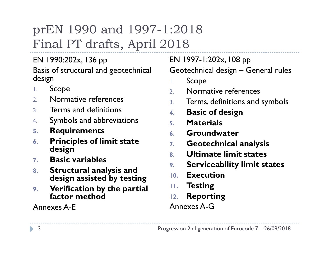# prEN 1990 and 1997-1:2018 Final PT drafts, April 2018

EN 1990:202x, 136 pp

design

- 1. Scope
- 2. Normative references  $\frac{3}{3}$
- 3. Terms and definitions
- 4. Symbols and abbreviations
- 5. Requirements
- 6. Principles of limit state  $\overline{z}$ design
- 7. Basic variables
- 8. Structural analysis and <sup>9.</sup> design assisted by testing
- 9. Verification by the partial factor method

Annexes A-E

Basis of structural and geotechnical Geotechnical design - General rules EN 1997-1:202x, 108 pp :2018<br>
O18<br>
EN 1997-1:202x, 108 pp<br>
Geotechnical design – General rules<br>
L. Scope<br>
2. Normative references

- 1. Scope
- 2. Normative references
- Terms, definitions and symbols
- **Basic of design**
- **Materials**
- 6. Groundwater
- Geotechnical analysis
- 8. Ultimate limit states
- Serviceability limit states
- **Execution**
- **Testing**
- **Reporting**

#### Annexes A-G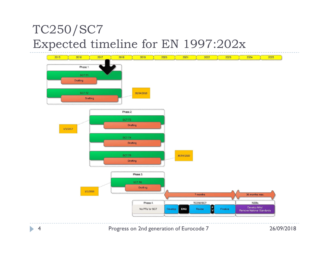#### TC250/SC7 Expected timeline for EN 1997:202x

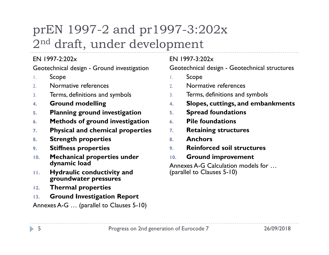### prEN 1997-2 and pr1997-3:202x<br>2<sup>nd</sup> draft, under development<br><sup>EN 1997-2:202x</sup> 2nd draft, under development Geotechnical design - Ground investigation  $97 - 3:202x$ <br>
Similarity<br>
Geotechnical design - Geotechnical structures<br>
EN 1997-3:202x<br>
Geotechnical design - Geotechnical structures<br>
Encorperancy - Normative references<br>
Similarity - Terms, definitions and symbols

#### $FN$  1997-2:202 $x$

- 1. Scope
- 2. Normative references
- 3. Terms, definitions and symbols
- 4. Ground modelling
- 5. Planning ground investigation
- 6. Methods of ground investigation
- 7. Physical and chemical properties  $7.$
- 8. Strength properties
- 9. Stiffness properties
- 10. Mechanical properties under dynamic load
- 11. Hydraulic conductivity and groundwater pressures
- 12. Thermal properties
- 13. Ground Investigation Report

Annexes A-G … (parallel to Clauses 5-10)

#### $FN$  1997-3:202 $x$

- 1. Scope
- 2. Normative references
- Terms, definitions and symbols
- Slopes, cuttings, and embankments
- Spread foundations
- Pile foundations
- **Retaining structures**
- 8. Anchors
- 9. Reinforced soil structures
- **Ground improvement**

Annexes A-G Calculation models for … (parallel to Clauses 5-10)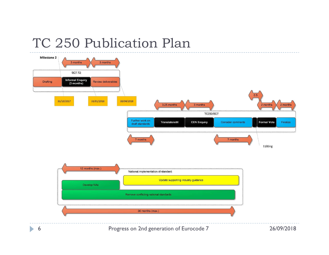#### TC 250 Publication Plan

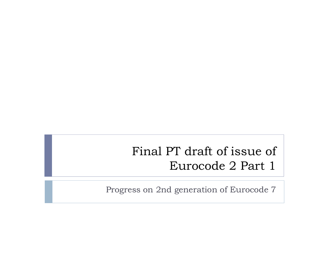#### Final PT draft of issue of Eurocode 2 Part 1

Progress on 2nd generation of Eurocode 7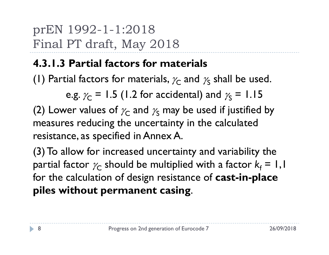# prEN 1992-1-1:2018<br>Final PT draft, May 2018<br>1212P (i.i.6 (i.i.6 ) Final PT draft, May 2018

#### 4.3.1.3 Partial factors for materials

(1) Partial factors for materials,  $\gamma_{\mathsf{C}}$  and  $\gamma_{\mathsf{S}}$  shall be used.

e.g.  $\gamma_{\mathsf{C}}$  = 1.5 (1.2 for accidental) and  $\gamma_{\mathsf{S}}$  = 1.15

(2) Lower values of  $\chi_{\mathsf{C}}$  and  $\chi_{\mathsf{S}}$  may be used if justified by measures reducing the uncertainty in the calculated resistance, as specified in Annex A.

(3) To allow for increased uncertainty and variability the partial factor  $\gamma_{\mathsf C}$  should be multiplied with a factor  ${\mathsf k}_{\mathsf f} = \mathsf I$  , I for the calculation of design resistance of **cast-in-place** piles without permanent casing.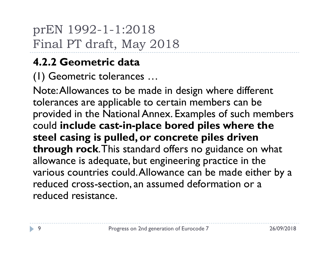prEN 1992-1-1:2018<br>Final PT draft, May 2018 Final PT draft, May 2018

#### 4.2.2 Geometric data

(1) Geometric tolerances …

Note: Allowances to be made in design where different tolerances are applicable to certain members can be provided in the National Annex. Examples of such members could include cast-in-place bored piles where the steel casing is pulled, or concrete piles driven through rock. This standard offers no guidance on what allowance is adequate, but engineering practice in the various countries could. Allowance can be made either by a reduced cross-section, an assumed deformation or a reduced resistance.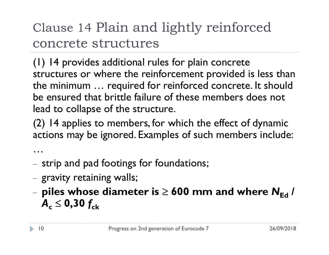### Clause 14 Plain and lightly reinforced concrete structures

(1) 14 provides additional rules for plain concrete structures or where the reinforcement provided is less than the minimum … required for reinforced concrete. It should be ensured that brittle failure of these members does not lead to collapse of the structure.

(2) 14 applies to members, for which the effect of dynamic actions may be ignored. Examples of such members include:

- … strip and pad footings for foundations;
- gravity retaining walls;
- piles whose diameter is  $\geq 600$  mm and where  $N_{\rm Ed}$  /  $A_c \leq 0,30 f_{ck}$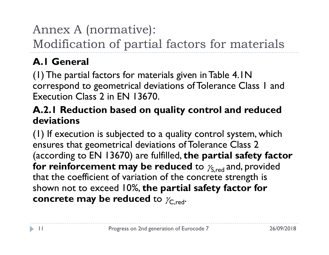#### Annex A (normative):

Modification of partial factors for materials

#### A.1 General

(1) The partial factors for materials given in Table 4.1N correspond to geometrical deviations of Tolerance Class 1 and Execution Class 2 in EN 13670.

#### A.2.1 Reduction based on quality control and reduced deviations

(1) If execution is subjected to a quality control system, which ensures that geometrical deviations of Tolerance Class 2 (according to EN 13670) are fulfilled, the partial safety factor for reinforcement may be reduced to  $\gamma_{S,red}$  and, provided that the coefficient of variation of the concrete strength is shown not to exceed 10%, the partial safety factor for concrete may be reduced to  $\gamma_{C,\text{red}}$ .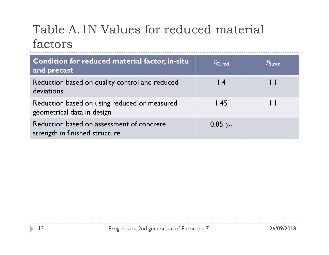### Table A.1N Values for reduced material factors

| Table A.1N Values for reduced material<br>factors                           |                                  |                                          |
|-----------------------------------------------------------------------------|----------------------------------|------------------------------------------|
| Condition for reduced material factor, in-situ<br>and precast               | $\chi_{\mathsf{C},\mathsf{red}}$ | $\mathcal{V}_{\mathsf{S}, \mathsf{red}}$ |
| Reduction based on quality control and reduced<br>deviations                | $\mathsf{I}$ .4                  | $\mathsf{L}$                             |
| Reduction based on using reduced or measured<br>geometrical data in design  | 1.45                             | $\overline{1}$ .                         |
| Reduction based on assessment of concrete<br>strength in finished structure | 0.85 $\gamma_c$                  |                                          |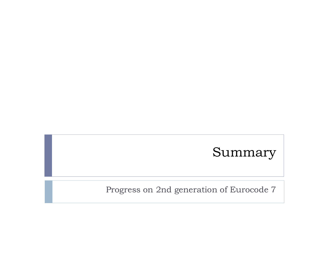#### Summary

Progress on 2nd generation of Eurocode 7